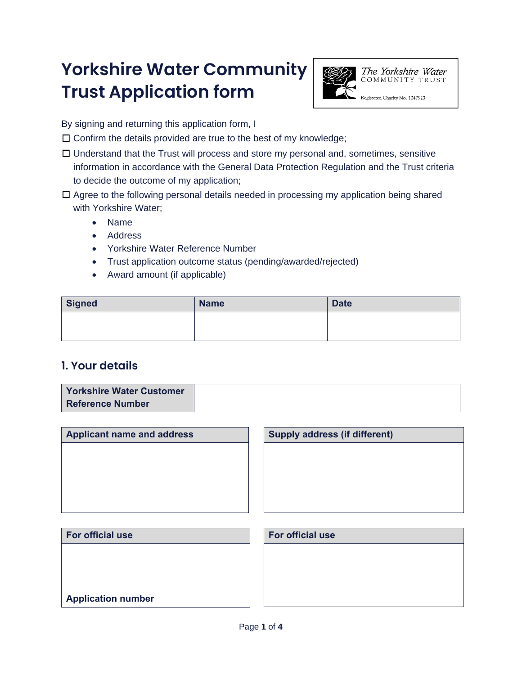# **Yorkshire Water Community Trust Application form**



The Yorkshire Water COMMUNITY TRUST

Registered Charity No. 1047923

By signing and returning this application form, I

 $\Box$  Confirm the details provided are true to the best of my knowledge;

- ☐ Understand that the Trust will process and store my personal and, sometimes, sensitive information in accordance with the General Data Protection Regulation and the Trust criteria to decide the outcome of my application;
- ☐ Agree to the following personal details needed in processing my application being shared with Yorkshire Water;
	- Name
	- Address
	- Yorkshire Water Reference Number
	- Trust application outcome status (pending/awarded/rejected)
	- Award amount (if applicable)

| Signed | <b>Name</b> | <b>Date</b> |
|--------|-------------|-------------|
|        |             |             |
|        |             |             |

## **1. Your details**

**Application number** 

| <b>Yorkshire Water Customer</b> |  |
|---------------------------------|--|
| <b>Reference Number</b>         |  |

| <b>Applicant name and address</b> | <b>Supply address (if different)</b> |
|-----------------------------------|--------------------------------------|
|                                   |                                      |
|                                   |                                      |
|                                   |                                      |
|                                   |                                      |
|                                   |                                      |
| For official use                  | For official use                     |
|                                   |                                      |
|                                   |                                      |
|                                   |                                      |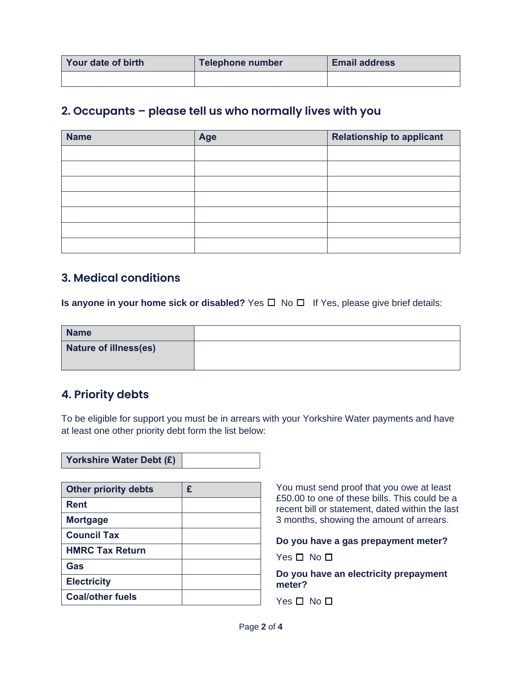| <b>Your date of birth</b> | <b>Telephone number</b> | <b>Email address</b> |
|---------------------------|-------------------------|----------------------|
|                           |                         |                      |

### **2. Occupants – please tell us who normally lives with you**

| <b>Name</b> | Age | <b>Relationship to applicant</b> |
|-------------|-----|----------------------------------|
|             |     |                                  |
|             |     |                                  |
|             |     |                                  |
|             |     |                                  |
|             |     |                                  |
|             |     |                                  |
|             |     |                                  |

### **3. Medical conditions**

**Is anyone in your home sick or disabled?** Yes ☐ No ☐ If Yes, please give brief details:

| <b>Name</b>           |  |
|-----------------------|--|
| Nature of illness(es) |  |
|                       |  |

## **4. Priority debts**

To be eligible for support you must be in arrears with your Yorkshire Water payments and have at least one other priority debt form the list below:

|--|

| <b>Other priority debts</b> | £ |
|-----------------------------|---|
| Rent                        |   |
| <b>Mortgage</b>             |   |
| <b>Council Tax</b>          |   |
| <b>HMRC Tax Return</b>      |   |
| Gas                         |   |
| <b>Electricity</b>          |   |
| <b>Coal/other fuels</b>     |   |

You must send proof that you owe at least £50.00 to one of these bills. This could be a recent bill or statement, dated within the last 3 months, showing the amount of arrears.

**Do you have a gas prepayment meter?** 

Yes □ No □

**Do you have an electricity prepayment meter?** 

Yes □ No □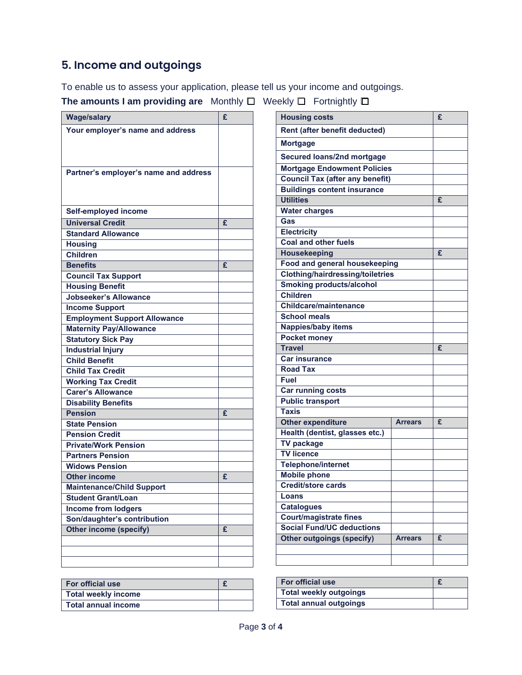# **5. Income and outgoings**

To enable us to assess your application, please tell us your income and outgoings.

**The amounts I am providing are** Monthly ☐ Weekly ☐ Fortnightly ☐

| <b>Wage/salary</b>                    | £ | <b>Housing costs</b>                    |                | £              |
|---------------------------------------|---|-----------------------------------------|----------------|----------------|
| Your employer's name and address      |   | Rent (after benefit deducted)           |                |                |
|                                       |   | <b>Mortgage</b>                         |                |                |
|                                       |   | Secured loans/2nd mortgage              |                |                |
|                                       |   | <b>Mortgage Endowment Policies</b>      |                |                |
| Partner's employer's name and address |   | <b>Council Tax (after any benefit)</b>  |                |                |
|                                       |   | <b>Buildings content insurance</b>      |                |                |
|                                       |   | <b>Utilities</b>                        |                | £              |
| Self-employed income                  |   | <b>Water charges</b>                    |                |                |
| <b>Universal Credit</b>               | £ | Gas                                     |                |                |
| <b>Standard Allowance</b>             |   | Electricity                             |                |                |
| <b>Housing</b>                        |   | <b>Coal and other fuels</b>             |                |                |
| <b>Children</b>                       |   | Housekeeping                            |                | $\overline{f}$ |
| <b>Benefits</b>                       | £ | Food and general housekeeping           |                |                |
| <b>Council Tax Support</b>            |   | <b>Clothing/hairdressing/toiletries</b> |                |                |
| <b>Housing Benefit</b>                |   | <b>Smoking products/alcohol</b>         |                |                |
| <b>Jobseeker's Allowance</b>          |   | <b>Children</b>                         |                |                |
| <b>Income Support</b>                 |   | Childcare/maintenance                   |                |                |
| <b>Employment Support Allowance</b>   |   | <b>School meals</b>                     |                |                |
| <b>Maternity Pay/Allowance</b>        |   | <b>Nappies/baby items</b>               |                |                |
| <b>Statutory Sick Pay</b>             |   | <b>Pocket money</b>                     |                |                |
| <b>Industrial Injury</b>              |   | <b>Travel</b>                           |                | £              |
| <b>Child Benefit</b>                  |   | <b>Car insurance</b>                    |                |                |
| <b>Child Tax Credit</b>               |   | <b>Road Tax</b>                         |                |                |
| <b>Working Tax Credit</b>             |   | Fuel                                    |                |                |
| <b>Carer's Allowance</b>              |   | <b>Car running costs</b>                |                |                |
| <b>Disability Benefits</b>            |   | <b>Public transport</b>                 |                |                |
| <b>Pension</b>                        | £ | <b>Taxis</b>                            |                |                |
| <b>State Pension</b>                  |   | <b>Other expenditure</b>                | <b>Arrears</b> | £              |
| <b>Pension Credit</b>                 |   | Health (dentist, glasses etc.)          |                |                |
| <b>Private/Work Pension</b>           |   | <b>TV package</b>                       |                |                |
| <b>Partners Pension</b>               |   | <b>TV licence</b>                       |                |                |
| <b>Widows Pension</b>                 |   | <b>Telephone/internet</b>               |                |                |
| <b>Other income</b>                   | £ | <b>Mobile phone</b>                     |                |                |
| <b>Maintenance/Child Support</b>      |   | Credit/store cards                      |                |                |
| <b>Student Grant/Loan</b>             |   | Loans                                   |                |                |
| <b>Income from lodgers</b>            |   | <b>Catalogues</b>                       |                |                |
| Son/daughter's contribution           |   | <b>Court/magistrate fines</b>           |                |                |
| Other income (specify)                | £ | <b>Social Fund/UC deductions</b>        |                |                |
|                                       |   | <b>Other outgoings (specify)</b>        | <b>Arrears</b> | £              |
|                                       |   |                                         |                |                |
|                                       |   |                                         |                |                |

| <b>For official use</b> |  | <b>For official use</b>       |  |
|-------------------------|--|-------------------------------|--|
| Total weekly income     |  | Total weekly outgoings        |  |
| Total annual income     |  | <b>Total annual outgoings</b> |  |

| <b>For official use</b>       |  |
|-------------------------------|--|
| <b>Total weekly outgoings</b> |  |
| <b>Total annual outgoings</b> |  |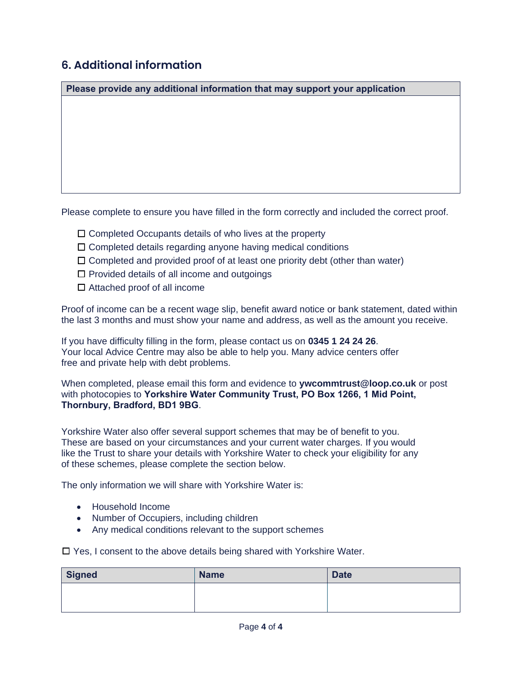# **6. Additional information**

**Please provide any additional information that may support your application** 

Please complete to ensure you have filled in the form correctly and included the correct proof.

- ☐ Completed Occupants details of who lives at the property
- $\Box$  Completed details regarding anyone having medical conditions
- ☐ Completed and provided proof of at least one priority debt (other than water)
- $\Box$  Provided details of all income and outgoings
- $\Box$  Attached proof of all income

Proof of income can be a recent wage slip, benefit award notice or bank statement, dated within the last 3 months and must show your name and address, as well as the amount you receive.

If you have difficulty filling in the form, please contact us on **[0345 1 24 24 26](tel:03451242426)**. Your local Advice Centre may also be able to help you. Many advice centers offer free and private help with debt problems.

When completed, please email this form and evidence to **[ywcommtrust@loop.co.uk](mailto:ywcommtrust@loop.co.uk)** or post with photocopies to **Yorkshire Water Community Trust, PO Box 1266, 1 Mid Point, Thornbury, Bradford, BD1 9BG**.

Yorkshire Water also offer several support schemes that may be of benefit to you. These are based on your circumstances and your current water charges. If you would like the Trust to share your details with Yorkshire Water to check your eligibility for any of these schemes, please complete the section below.

The only information we will share with Yorkshire Water is:

- Household Income
- Number of Occupiers, including children
- Any medical conditions relevant to the support schemes

☐ Yes, I consent to the above details being shared with Yorkshire Water.

| Signed | <b>Name</b> | <b>Date</b> |
|--------|-------------|-------------|
|        |             |             |
|        |             |             |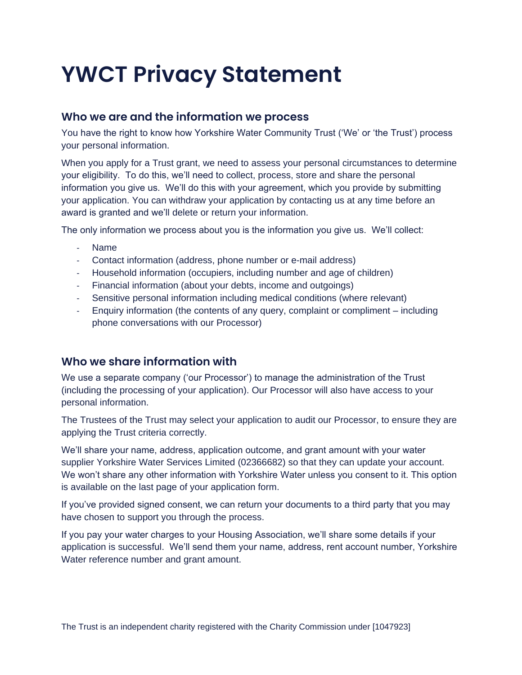# **YWCT Privacy Statement**

### **Who we are and the information we process**

You have the right to know how Yorkshire Water Community Trust ('We' or 'the Trust') process your personal information.

When you apply for a Trust grant, we need to assess your personal circumstances to determine your eligibility. To do this, we'll need to collect, process, store and share the personal information you give us. We'll do this with your agreement, which you provide by submitting your application. You can withdraw your application by contacting us at any time before an award is granted and we'll delete or return your information.

The only information we process about you is the information you give us. We'll collect:

- Name
- Contact information (address, phone number or e-mail address)
- Household information (occupiers, including number and age of children)
- Financial information (about your debts, income and outgoings)
- Sensitive personal information including medical conditions (where relevant)
- Enquiry information (the contents of any query, complaint or compliment including phone conversations with our Processor)

### **Who we share information with**

We use a separate company ('our Processor') to manage the administration of the Trust (including the processing of your application). Our Processor will also have access to your personal information.

The Trustees of the Trust may select your application to audit our Processor, to ensure they are applying the Trust criteria correctly.

We'll share your name, address, application outcome, and grant amount with your water supplier Yorkshire Water Services Limited (02366682) so that they can update your account. We won't share any other information with Yorkshire Water unless you consent to it. This option is available on the last page of your application form.

If you've provided signed consent, we can return your documents to a third party that you may have chosen to support you through the process.

If you pay your water charges to your Housing Association, we'll share some details if your application is successful. We'll send them your name, address, rent account number, Yorkshire Water reference number and grant amount.